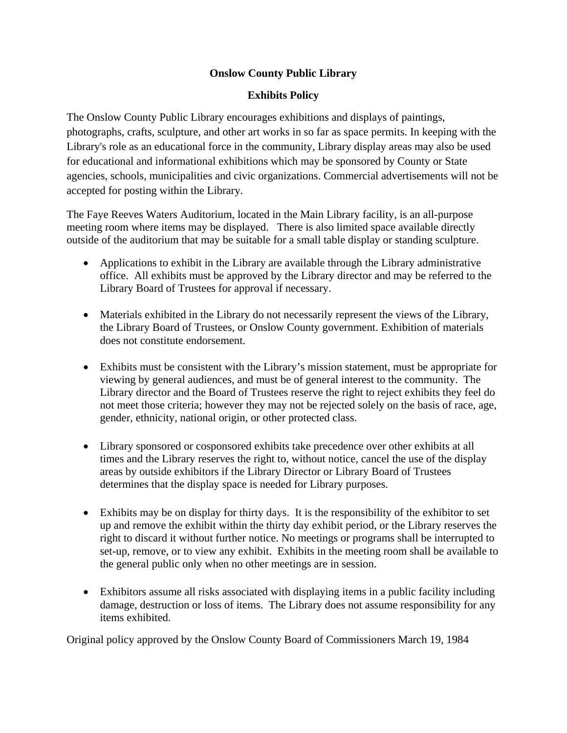## **Onslow County Public Library**

## **Exhibits Policy**

The Onslow County Public Library encourages exhibitions and displays of paintings, photographs, crafts, sculpture, and other art works in so far as space permits. In keeping with the Library's role as an educational force in the community, Library display areas may also be used for educational and informational exhibitions which may be sponsored by County or State agencies, schools, municipalities and civic organizations. Commercial advertisements will not be accepted for posting within the Library.

The Faye Reeves Waters Auditorium, located in the Main Library facility, is an all-purpose meeting room where items may be displayed. There is also limited space available directly outside of the auditorium that may be suitable for a small table display or standing sculpture.

- Applications to exhibit in the Library are available through the Library administrative office. All exhibits must be approved by the Library director and may be referred to the Library Board of Trustees for approval if necessary.
- Materials exhibited in the Library do not necessarily represent the views of the Library, the Library Board of Trustees, or Onslow County government. Exhibition of materials does not constitute endorsement.
- Exhibits must be consistent with the Library's mission statement, must be appropriate for viewing by general audiences, and must be of general interest to the community. The Library director and the Board of Trustees reserve the right to reject exhibits they feel do not meet those criteria; however they may not be rejected solely on the basis of race, age, gender, ethnicity, national origin, or other protected class.
- Library sponsored or cosponsored exhibits take precedence over other exhibits at all times and the Library reserves the right to, without notice, cancel the use of the display areas by outside exhibitors if the Library Director or Library Board of Trustees determines that the display space is needed for Library purposes.
- Exhibits may be on display for thirty days. It is the responsibility of the exhibitor to set up and remove the exhibit within the thirty day exhibit period, or the Library reserves the right to discard it without further notice. No meetings or programs shall be interrupted to set-up, remove, or to view any exhibit. Exhibits in the meeting room shall be available to the general public only when no other meetings are in session.
- Exhibitors assume all risks associated with displaying items in a public facility including damage, destruction or loss of items. The Library does not assume responsibility for any items exhibited.

Original policy approved by the Onslow County Board of Commissioners March 19, 1984